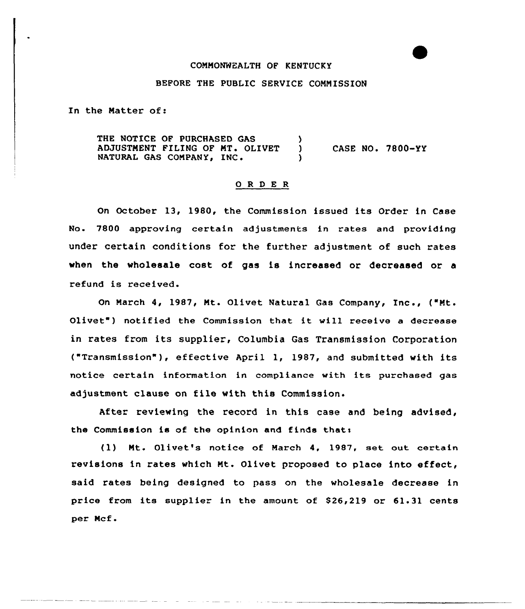## COMMONWEALTH OF KENTUCKY

## BEFORE THE PUBLIC SERVICE COMMISSION

In the Matter of:

THE NOTICE OF PURCHASED GAS ADJUSTMENT FILING OF MT. OLIVET ) NATURAL GAS COMPANY, INC. CASE NO. 7800-YY

#### 0 R <sup>D</sup> E <sup>R</sup>

On October 13, 1980, the Commission issued its Order in Case No. 7800 approving certain adjustments in rates and providing under certain conditions for the further adjustment of such rates when the wholesale cost of gas is increased or decreased or a refund is received.

On March 4, 1987, Mt. Olivet Natural Gas Company, Inc., ("Mt. Olivet") notified the Commission that it will receive a decrease in rates from its supplier, Columbia Gas Transmission Corporation ("Transmission" ), effective April 1, 1987, and submitted with its notice certain information in compliance vith its purchased gas adjustment clause on file with this Commission.

After reviewing the record in this case and being advised, the Commission is of the opinion and finds thats

(1) Mt. Qlivet's notice of March 4, 1987, act out certain revisions in rates which Mt. Olivet proposed to place into effect, said rates being designed to pass on the wholesale decrease in price from its supplier in the amount of \$26,219 or 61.31 cents per Mcf.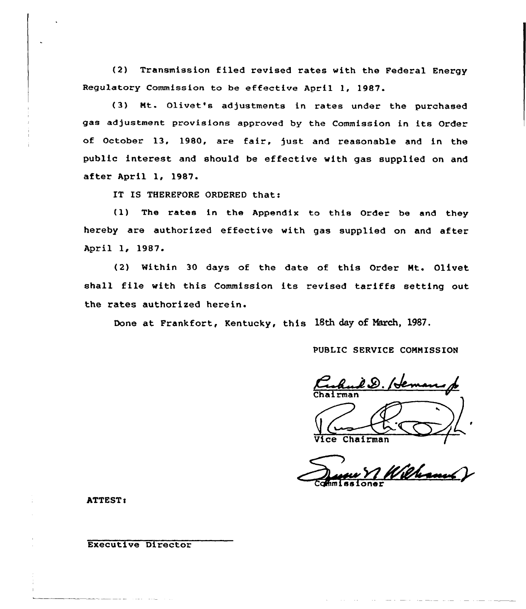(2) Transmission filed revised rates with the Federal Energy Regulatory Commission to be effective April 1, 1987.

(3) Nt. Olivet's adjustments in rates under the purchased gas adjustment provisions approved by the Commission in its Order of October 13, 1980, are fair, just and reasonable and in the public interest and should be effective with gas supplied on and after April 1, 1987.

IT IS THEREFORE ORDERED that:

(1) The rates in the Appendix to this Order be and they hereby are authorized effective with gas supplied on and after April 1, 1987.

(2) Within 30 days of the date of this Order Nt. Olivet shall file with this Commission its revised tariffs setting out the rates authorized herein.

Done at Frankfort, Kentucky, this 18th day of March, 1987.

PUBLIC SERVICE CONNISSION

I.D. /H Chairma

Vice Chairman /

Vice Chairman d'Alexandre Commissione

ATTEST:

Executive Director